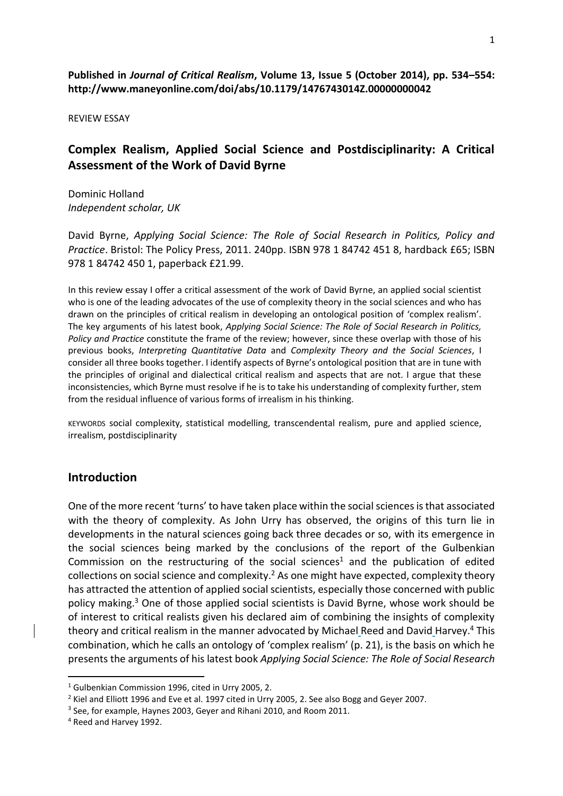**Published in** *Journal of Critical Realism***, Volume 13, Issue 5 (October 2014), pp. 534–554: http://www.maneyonline.com/doi/abs/10.1179/1476743014Z.00000000042**

REVIEW ESSAY

## **Complex Realism, Applied Social Science and Postdisciplinarity: A Critical Assessment of the Work of David Byrne**

Dominic Holland *Independent scholar, UK*

David Byrne, *Applying Social Science: The Role of Social Research in Politics, Policy and Practice*. Bristol: The Policy Press, 2011. 240pp. ISBN 978 1 84742 451 8, hardback £65; ISBN 978 1 84742 450 1, paperback £21.99.

In this review essay I offer a critical assessment of the work of David Byrne, an applied social scientist who is one of the leading advocates of the use of complexity theory in the social sciences and who has drawn on the principles of critical realism in developing an ontological position of 'complex realism'. The key arguments of his latest book, *Applying Social Science: The Role of Social Research in Politics, Policy and Practice* constitute the frame of the review; however, since these overlap with those of his previous books, *Interpreting Quantitative Data* and *Complexity Theory and the Social Sciences*, I consider all three books together. I identify aspects of Byrne's ontological position that are in tune with the principles of original and dialectical critical realism and aspects that are not. I argue that these inconsistencies, which Byrne must resolve if he is to take his understanding of complexity further, stem from the residual influence of various forms of irrealism in his thinking.

KEYWORDS social complexity, statistical modelling, transcendental realism, pure and applied science, irrealism, postdisciplinarity

#### **Introduction**

One of the more recent 'turns' to have taken place within the social sciences is that associated with the theory of complexity. As John Urry has observed, the origins of this turn lie in developments in the natural sciences going back three decades or so, with its emergence in the social sciences being marked by the conclusions of the report of the Gulbenkian Commission on the restructuring of the social sciences<sup>1</sup> and the publication of edited collections on social science and complexity.<sup>2</sup> As one might have expected, complexity theory has attracted the attention of applied social scientists, especially those concerned with public policy making.<sup>3</sup> One of those applied social scientists is David Byrne, whose work should be of interest to critical realists given his declared aim of combining the insights of complexity theory and critical realism in the manner advocated by Michael Reed and David Harvey.<sup>4</sup> This combination, which he calls an ontology of 'complex realism' (p. 21), is the basis on which he presents the arguments of his latest book *Applying Social Science: The Role of Social Research* 

<sup>&</sup>lt;sup>1</sup> Gulbenkian Commission 1996, cited in Urry 2005, 2.

<sup>&</sup>lt;sup>2</sup> Kiel and Elliott 1996 and Eve et al. 1997 cited in Urry 2005, 2. See also Bogg and Geyer 2007.

<sup>&</sup>lt;sup>3</sup> See, for example, Haynes 2003, Geyer and Rihani 2010, and Room 2011.

<sup>4</sup> Reed and Harvey 1992.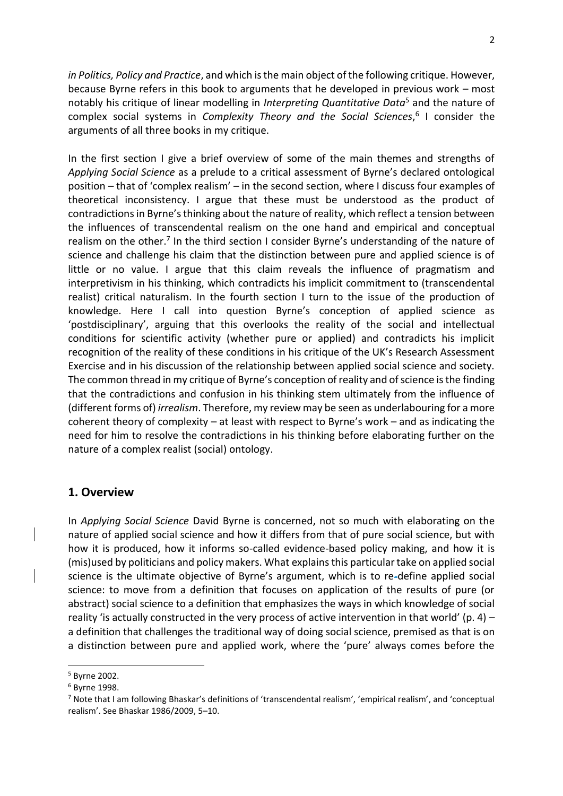*in Politics, Policy and Practice*, and which is the main object of the following critique. However, because Byrne refers in this book to arguments that he developed in previous work – most notably his critique of linear modelling in *Interpreting Quantitative Data*<sup>5</sup> and the nature of complex social systems in *Complexity Theory and the Social Sciences*, 6 I consider the arguments of all three books in my critique.

In the first section I give a brief overview of some of the main themes and strengths of *Applying Social Science* as a prelude to a critical assessment of Byrne's declared ontological position – that of 'complex realism' – in the second section, where I discuss four examples of theoretical inconsistency. I argue that these must be understood as the product of contradictions in Byrne's thinking about the nature of reality, which reflect a tension between the influences of transcendental realism on the one hand and empirical and conceptual realism on the other.<sup>7</sup> In the third section I consider Byrne's understanding of the nature of science and challenge his claim that the distinction between pure and applied science is of little or no value. I argue that this claim reveals the influence of pragmatism and interpretivism in his thinking, which contradicts his implicit commitment to (transcendental realist) critical naturalism. In the fourth section I turn to the issue of the production of knowledge. Here I call into question Byrne's conception of applied science as 'postdisciplinary', arguing that this overlooks the reality of the social and intellectual conditions for scientific activity (whether pure or applied) and contradicts his implicit recognition of the reality of these conditions in his critique of the UK's Research Assessment Exercise and in his discussion of the relationship between applied social science and society. The common thread in my critique of Byrne's conception of reality and of science is the finding that the contradictions and confusion in his thinking stem ultimately from the influence of (different forms of) *irrealism*. Therefore, my review may be seen as underlabouring for a more coherent theory of complexity – at least with respect to Byrne's work – and as indicating the need for him to resolve the contradictions in his thinking before elaborating further on the nature of a complex realist (social) ontology.

#### **1. Overview**

In *Applying Social Science* David Byrne is concerned, not so much with elaborating on the nature of applied social science and how it differs from that of pure social science, but with how it is produced, how it informs so-called evidence-based policy making, and how it is (mis)used by politicians and policy makers. What explains this particular take on applied social science is the ultimate objective of Byrne's argument, which is to re-define applied social science: to move from a definition that focuses on application of the results of pure (or abstract) social science to a definition that emphasizes the ways in which knowledge of social reality 'is actually constructed in the very process of active intervention in that world' (p. 4) – a definition that challenges the traditional way of doing social science, premised as that is on a distinction between pure and applied work, where the 'pure' always comes before the

 $\overline{a}$ 

<sup>5</sup> Byrne 2002.

<sup>6</sup> Byrne 1998.

<sup>7</sup> Note that I am following Bhaskar's definitions of 'transcendental realism', 'empirical realism', and 'conceptual realism'. See Bhaskar 1986/2009, 5–10.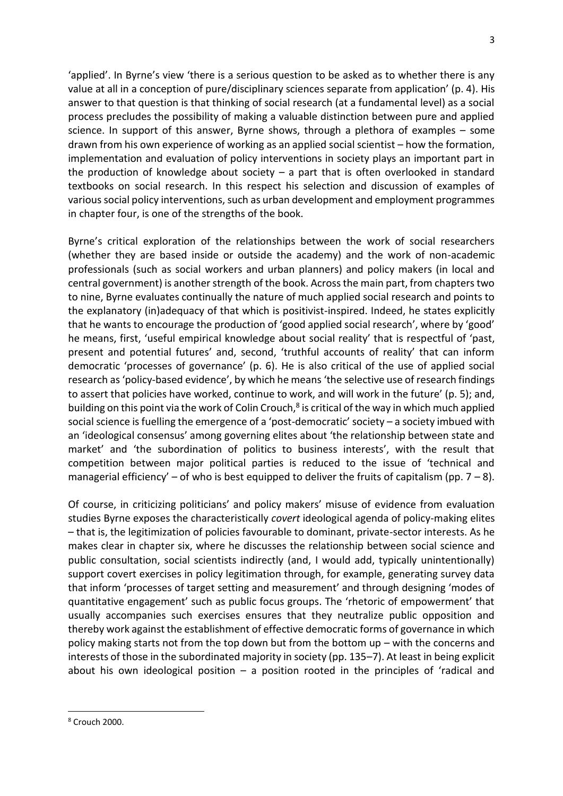'applied'. In Byrne's view 'there is a serious question to be asked as to whether there is any value at all in a conception of pure/disciplinary sciences separate from application' (p. 4). His answer to that question is that thinking of social research (at a fundamental level) as a social process precludes the possibility of making a valuable distinction between pure and applied science. In support of this answer, Byrne shows, through a plethora of examples – some drawn from his own experience of working as an applied social scientist – how the formation, implementation and evaluation of policy interventions in society plays an important part in the production of knowledge about society  $-$  a part that is often overlooked in standard textbooks on social research. In this respect his selection and discussion of examples of various social policy interventions, such as urban development and employment programmes in chapter four, is one of the strengths of the book.

Byrne's critical exploration of the relationships between the work of social researchers (whether they are based inside or outside the academy) and the work of non-academic professionals (such as social workers and urban planners) and policy makers (in local and central government) is another strength of the book. Across the main part, from chapters two to nine, Byrne evaluates continually the nature of much applied social research and points to the explanatory (in)adequacy of that which is positivist-inspired. Indeed, he states explicitly that he wants to encourage the production of 'good applied social research', where by 'good' he means, first, 'useful empirical knowledge about social reality' that is respectful of 'past, present and potential futures' and, second, 'truthful accounts of reality' that can inform democratic 'processes of governance' (p. 6). He is also critical of the use of applied social research as 'policy-based evidence', by which he means 'the selective use of research findings to assert that policies have worked, continue to work, and will work in the future' (p. 5); and, building on this point via the work of Colin Crouch,<sup>8</sup> is critical of the way in which much applied social science is fuelling the emergence of a 'post-democratic' society – a society imbued with an 'ideological consensus' among governing elites about 'the relationship between state and market' and 'the subordination of politics to business interests', with the result that competition between major political parties is reduced to the issue of 'technical and managerial efficiency' – of who is best equipped to deliver the fruits of capitalism (pp.  $7 - 8$ ).

Of course, in criticizing politicians' and policy makers' misuse of evidence from evaluation studies Byrne exposes the characteristically *covert* ideological agenda of policy-making elites – that is, the legitimization of policies favourable to dominant, private-sector interests. As he makes clear in chapter six, where he discusses the relationship between social science and public consultation, social scientists indirectly (and, I would add, typically unintentionally) support covert exercises in policy legitimation through, for example, generating survey data that inform 'processes of target setting and measurement' and through designing 'modes of quantitative engagement' such as public focus groups. The 'rhetoric of empowerment' that usually accompanies such exercises ensures that they neutralize public opposition and thereby work against the establishment of effective democratic forms of governance in which policy making starts not from the top down but from the bottom up – with the concerns and interests of those in the subordinated majority in society (pp. 135–7). At least in being explicit about his own ideological position  $-$  a position rooted in the principles of 'radical and

<sup>8</sup> Crouch 2000.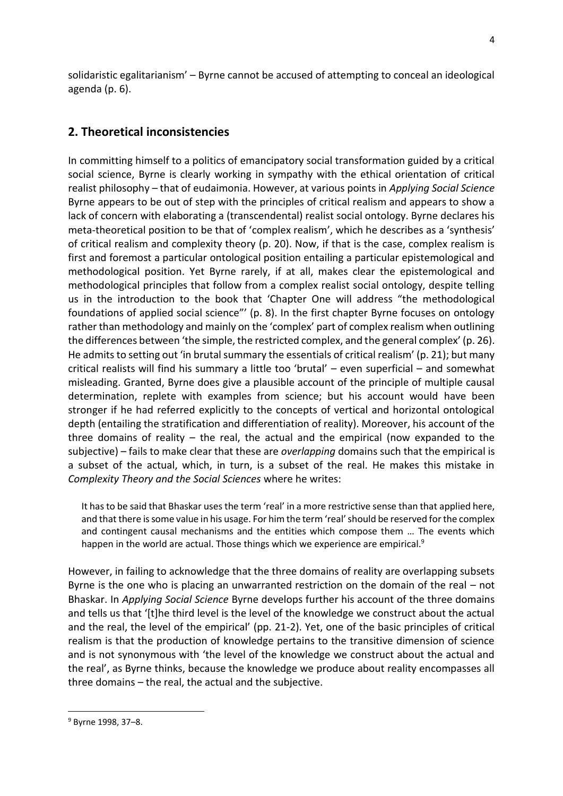solidaristic egalitarianism' – Byrne cannot be accused of attempting to conceal an ideological agenda (p. 6).

# **2. Theoretical inconsistencies**

In committing himself to a politics of emancipatory social transformation guided by a critical social science, Byrne is clearly working in sympathy with the ethical orientation of critical realist philosophy – that of eudaimonia. However, at various points in *Applying Social Science* Byrne appears to be out of step with the principles of critical realism and appears to show a lack of concern with elaborating a (transcendental) realist social ontology. Byrne declares his meta-theoretical position to be that of 'complex realism', which he describes as a 'synthesis' of critical realism and complexity theory (p. 20). Now, if that is the case, complex realism is first and foremost a particular ontological position entailing a particular epistemological and methodological position. Yet Byrne rarely, if at all, makes clear the epistemological and methodological principles that follow from a complex realist social ontology, despite telling us in the introduction to the book that 'Chapter One will address "the methodological foundations of applied social science"' (p. 8). In the first chapter Byrne focuses on ontology rather than methodology and mainly on the 'complex' part of complex realism when outlining the differences between 'the simple, the restricted complex, and the general complex' (p. 26). He admits to setting out 'in brutal summary the essentials of critical realism' (p. 21); but many critical realists will find his summary a little too 'brutal' – even superficial – and somewhat misleading. Granted, Byrne does give a plausible account of the principle of multiple causal determination, replete with examples from science; but his account would have been stronger if he had referred explicitly to the concepts of vertical and horizontal ontological depth (entailing the stratification and differentiation of reality). Moreover, his account of the three domains of reality  $-$  the real, the actual and the empirical (now expanded to the subjective) – fails to make clear that these are *overlapping* domains such that the empirical is a subset of the actual, which, in turn, is a subset of the real. He makes this mistake in *Complexity Theory and the Social Sciences* where he writes:

It has to be said that Bhaskar uses the term 'real' in a more restrictive sense than that applied here, and that there is some value in his usage. For him the term 'real' should be reserved for the complex and contingent causal mechanisms and the entities which compose them … The events which happen in the world are actual. Those things which we experience are empirical.<sup>9</sup>

However, in failing to acknowledge that the three domains of reality are overlapping subsets Byrne is the one who is placing an unwarranted restriction on the domain of the real – not Bhaskar. In *Applying Social Science* Byrne develops further his account of the three domains and tells us that '[t]he third level is the level of the knowledge we construct about the actual and the real, the level of the empirical' (pp. 21-2). Yet, one of the basic principles of critical realism is that the production of knowledge pertains to the transitive dimension of science and is not synonymous with 'the level of the knowledge we construct about the actual and the real', as Byrne thinks, because the knowledge we produce about reality encompasses all three domains – the real, the actual and the subjective.

**<sup>.</sup>** <sup>9</sup> Byrne 1998, 37–8.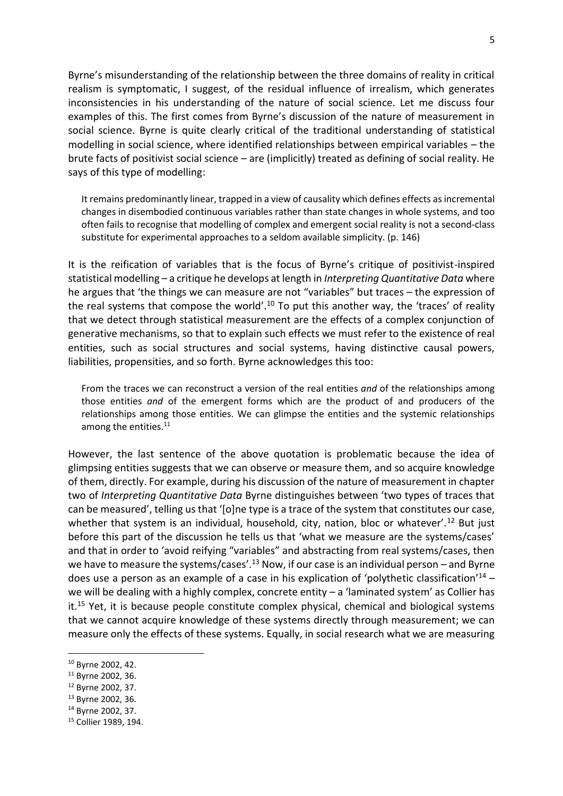Byrne's misunderstanding of the relationship between the three domains of reality in critical realism is symptomatic, I suggest, of the residual influence of irrealism, which generates inconsistencies in his understanding of the nature of social science. Let me discuss four examples of this. The first comes from Byrne's discussion of the nature of measurement in social science. Byrne is quite clearly critical of the traditional understanding of statistical modelling in social science, where identified relationships between empirical variables – the brute facts of positivist social science – are (implicitly) treated as defining of social reality. He says of this type of modelling:

It remains predominantly linear, trapped in a view of causality which defines effects as incremental changes in disembodied continuous variables rather than state changes in whole systems, and too often fails to recognise that modelling of complex and emergent social reality is not a second-class substitute for experimental approaches to a seldom available simplicity. (p. 146)

It is the reification of variables that is the focus of Byrne's critique of positivist-inspired statistical modelling – a critique he develops at length in *Interpreting Quantitative Data* where he argues that 'the things we can measure are not "variables" but traces – the expression of the real systems that compose the world'.<sup>10</sup> To put this another way, the 'traces' of reality that we detect through statistical measurement are the effects of a complex conjunction of generative mechanisms, so that to explain such effects we must refer to the existence of real entities, such as social structures and social systems, having distinctive causal powers, liabilities, propensities, and so forth. Byrne acknowledges this too:

From the traces we can reconstruct a version of the real entities *and* of the relationships among those entities *and* of the emergent forms which are the product of and producers of the relationships among those entities. We can glimpse the entities and the systemic relationships among the entities. $11$ 

However, the last sentence of the above quotation is problematic because the idea of glimpsing entities suggests that we can observe or measure them, and so acquire knowledge of them, directly. For example, during his discussion of the nature of measurement in chapter two of *Interpreting Quantitative Data* Byrne distinguishes between 'two types of traces that can be measured', telling us that '[o]ne type is a trace of the system that constitutes our case, whether that system is an individual, household, city, nation, bloc or whatever'.<sup>12</sup> But just before this part of the discussion he tells us that 'what we measure are the systems/cases' and that in order to 'avoid reifying "variables" and abstracting from real systems/cases, then we have to measure the systems/cases'.<sup>13</sup> Now, if our case is an individual person – and Byrne does use a person as an example of a case in his explication of 'polythetic classification'<sup>14</sup> – we will be dealing with a highly complex, concrete entity – a 'laminated system' as Collier has  $it.<sup>15</sup>$  Yet, it is because people constitute complex physical, chemical and biological systems that we cannot acquire knowledge of these systems directly through measurement; we can measure only the effects of these systems. Equally, in social research what we are measuring

- <sup>13</sup> Byrne 2002, 36.
- <sup>14</sup> Byrne 2002, 37.

<sup>10</sup> Byrne 2002, 42.

<sup>11</sup> Byrne 2002, 36.

<sup>12</sup> Byrne 2002, 37.

<sup>15</sup> Collier 1989, 194.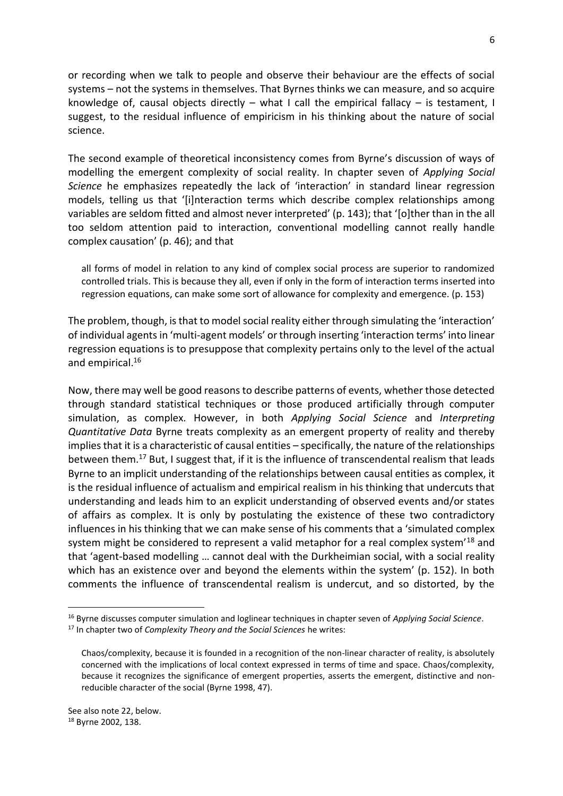or recording when we talk to people and observe their behaviour are the effects of social systems – not the systems in themselves. That Byrnes thinks we can measure, and so acquire knowledge of, causal objects directly – what I call the empirical fallacy – is testament, I suggest, to the residual influence of empiricism in his thinking about the nature of social science.

The second example of theoretical inconsistency comes from Byrne's discussion of ways of modelling the emergent complexity of social reality. In chapter seven of *Applying Social Science* he emphasizes repeatedly the lack of 'interaction' in standard linear regression models, telling us that '[i]nteraction terms which describe complex relationships among variables are seldom fitted and almost never interpreted' (p. 143); that '[o]ther than in the all too seldom attention paid to interaction, conventional modelling cannot really handle complex causation' (p. 46); and that

all forms of model in relation to any kind of complex social process are superior to randomized controlled trials. This is because they all, even if only in the form of interaction terms inserted into regression equations, can make some sort of allowance for complexity and emergence. (p. 153)

The problem, though, is that to model social reality either through simulating the 'interaction' of individual agents in 'multi-agent models' or through inserting 'interaction terms' into linear regression equations is to presuppose that complexity pertains only to the level of the actual and empirical.<sup>16</sup>

Now, there may well be good reasons to describe patterns of events, whether those detected through standard statistical techniques or those produced artificially through computer simulation, as complex. However, in both *Applying Social Science* and *Interpreting Quantitative Data* Byrne treats complexity as an emergent property of reality and thereby implies that it is a characteristic of causal entities – specifically, the nature of the relationships between them.<sup>17</sup> But, I suggest that, if it is the influence of transcendental realism that leads Byrne to an implicit understanding of the relationships between causal entities as complex, it is the residual influence of actualism and empirical realism in his thinking that undercuts that understanding and leads him to an explicit understanding of observed events and/or states of affairs as complex. It is only by postulating the existence of these two contradictory influences in his thinking that we can make sense of his comments that a 'simulated complex system might be considered to represent a valid metaphor for a real complex system<sup>'18</sup> and that 'agent-based modelling … cannot deal with the Durkheimian social, with a social reality which has an existence over and beyond the elements within the system' (p. 152). In both comments the influence of transcendental realism is undercut, and so distorted, by the

<sup>16</sup> Byrne discusses computer simulation and loglinear techniques in chapter seven of *Applying Social Science*.

<sup>17</sup> In chapter two of *Complexity Theory and the Social Sciences* he writes:

Chaos/complexity, because it is founded in a recognition of the non-linear character of reality, is absolutely concerned with the implications of local context expressed in terms of time and space. Chaos/complexity, because it recognizes the significance of emergent properties, asserts the emergent, distinctive and nonreducible character of the social (Byrne 1998, 47).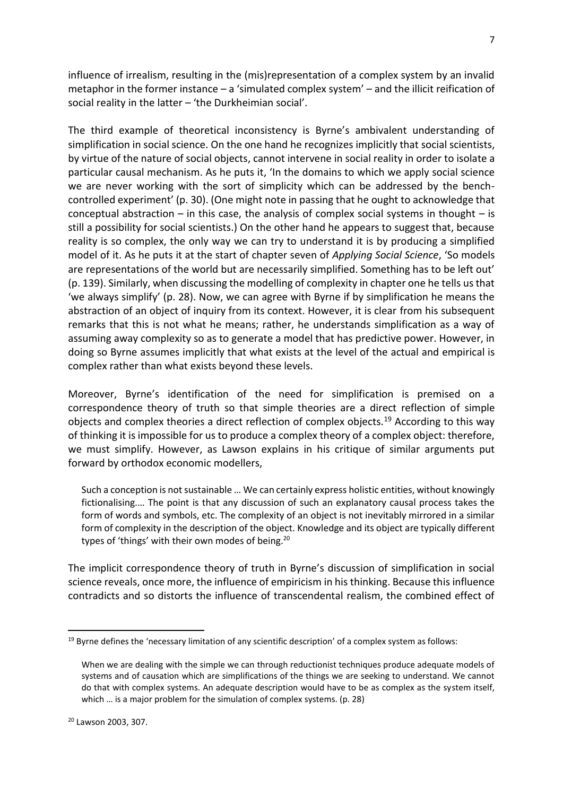influence of irrealism, resulting in the (mis)representation of a complex system by an invalid metaphor in the former instance – a 'simulated complex system' – and the illicit reification of social reality in the latter – 'the Durkheimian social'.

The third example of theoretical inconsistency is Byrne's ambivalent understanding of simplification in social science. On the one hand he recognizes implicitly that social scientists, by virtue of the nature of social objects, cannot intervene in social reality in order to isolate a particular causal mechanism. As he puts it, 'In the domains to which we apply social science we are never working with the sort of simplicity which can be addressed by the benchcontrolled experiment' (p. 30). (One might note in passing that he ought to acknowledge that conceptual abstraction – in this case, the analysis of complex social systems in thought – is still a possibility for social scientists.) On the other hand he appears to suggest that, because reality is so complex, the only way we can try to understand it is by producing a simplified model of it. As he puts it at the start of chapter seven of *Applying Social Science*, 'So models are representations of the world but are necessarily simplified. Something has to be left out' (p. 139). Similarly, when discussing the modelling of complexity in chapter one he tells us that 'we always simplify' (p. 28). Now, we can agree with Byrne if by simplification he means the abstraction of an object of inquiry from its context. However, it is clear from his subsequent remarks that this is not what he means; rather, he understands simplification as a way of assuming away complexity so as to generate a model that has predictive power. However, in doing so Byrne assumes implicitly that what exists at the level of the actual and empirical is complex rather than what exists beyond these levels.

Moreover, Byrne's identification of the need for simplification is premised on a correspondence theory of truth so that simple theories are a direct reflection of simple objects and complex theories a direct reflection of complex objects.<sup>19</sup> According to this way of thinking it is impossible for us to produce a complex theory of a complex object: therefore, we must simplify. However, as Lawson explains in his critique of similar arguments put forward by orthodox economic modellers,

Such a conception is not sustainable … We can certainly express holistic entities, without knowingly fictionalising.… The point is that any discussion of such an explanatory causal process takes the form of words and symbols, etc. The complexity of an object is not inevitably mirrored in a similar form of complexity in the description of the object. Knowledge and its object are typically different types of 'things' with their own modes of being.<sup>20</sup>

The implicit correspondence theory of truth in Byrne's discussion of simplification in social science reveals, once more, the influence of empiricism in his thinking. Because this influence contradicts and so distorts the influence of transcendental realism, the combined effect of

 $19$  Byrne defines the 'necessary limitation of any scientific description' of a complex system as follows:

When we are dealing with the simple we can through reductionist techniques produce adequate models of systems and of causation which are simplifications of the things we are seeking to understand. We cannot do that with complex systems. An adequate description would have to be as complex as the system itself, which … is a major problem for the simulation of complex systems. (p. 28)

<sup>20</sup> Lawson 2003, 307.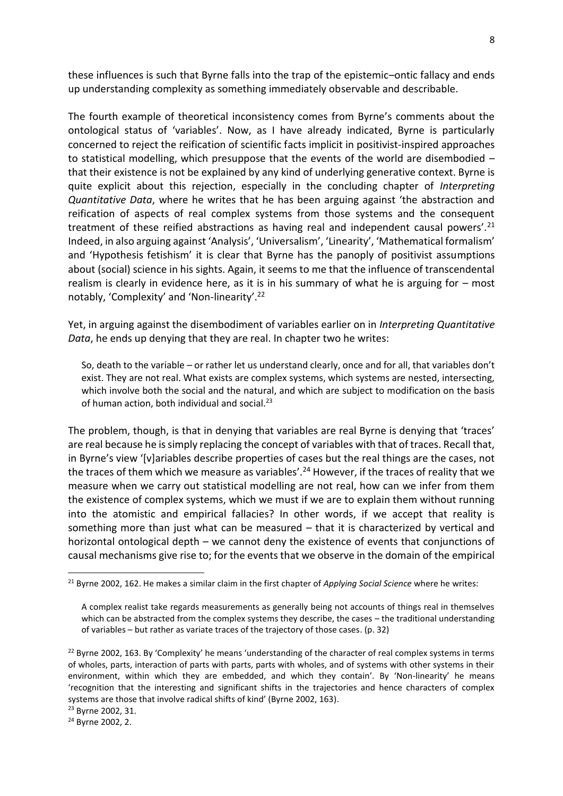these influences is such that Byrne falls into the trap of the epistemic–ontic fallacy and ends up understanding complexity as something immediately observable and describable.

The fourth example of theoretical inconsistency comes from Byrne's comments about the ontological status of 'variables'. Now, as I have already indicated, Byrne is particularly concerned to reject the reification of scientific facts implicit in positivist-inspired approaches to statistical modelling, which presuppose that the events of the world are disembodied – that their existence is not be explained by any kind of underlying generative context. Byrne is quite explicit about this rejection, especially in the concluding chapter of *Interpreting Quantitative Data*, where he writes that he has been arguing against 'the abstraction and reification of aspects of real complex systems from those systems and the consequent treatment of these reified abstractions as having real and independent causal powers'.<sup>21</sup> Indeed, in also arguing against 'Analysis', 'Universalism', 'Linearity', 'Mathematical formalism' and 'Hypothesis fetishism' it is clear that Byrne has the panoply of positivist assumptions about (social) science in his sights. Again, it seems to me that the influence of transcendental realism is clearly in evidence here, as it is in his summary of what he is arguing for – most notably, 'Complexity' and 'Non-linearity'.<sup>22</sup>

Yet, in arguing against the disembodiment of variables earlier on in *Interpreting Quantitative Data*, he ends up denying that they are real. In chapter two he writes:

So, death to the variable – or rather let us understand clearly, once and for all, that variables don't exist. They are not real. What exists are complex systems, which systems are nested, intersecting, which involve both the social and the natural, and which are subject to modification on the basis of human action, both individual and social. $^{23}$ 

The problem, though, is that in denying that variables are real Byrne is denying that 'traces' are real because he is simply replacing the concept of variables with that of traces. Recall that, in Byrne's view '[v]ariables describe properties of cases but the real things are the cases, not the traces of them which we measure as variables'.<sup>24</sup> However, if the traces of reality that we measure when we carry out statistical modelling are not real, how can we infer from them the existence of complex systems, which we must if we are to explain them without running into the atomistic and empirical fallacies? In other words, if we accept that reality is something more than just what can be measured – that it is characterized by vertical and horizontal ontological depth – we cannot deny the existence of events that conjunctions of causal mechanisms give rise to; for the events that we observe in the domain of the empirical

1

<sup>21</sup> Byrne 2002, 162. He makes a similar claim in the first chapter of *Applying Social Science* where he writes:

A complex realist take regards measurements as generally being not accounts of things real in themselves which can be abstracted from the complex systems they describe, the cases – the traditional understanding of variables – but rather as variate traces of the trajectory of those cases. (p. 32)

 $22$  Byrne 2002, 163. By 'Complexity' he means 'understanding of the character of real complex systems in terms of wholes, parts, interaction of parts with parts, parts with wholes, and of systems with other systems in their environment, within which they are embedded, and which they contain'. By 'Non-linearity' he means 'recognition that the interesting and significant shifts in the trajectories and hence characters of complex systems are those that involve radical shifts of kind' (Byrne 2002, 163).

<sup>23</sup> Byrne 2002, 31.

<sup>24</sup> Byrne 2002, 2.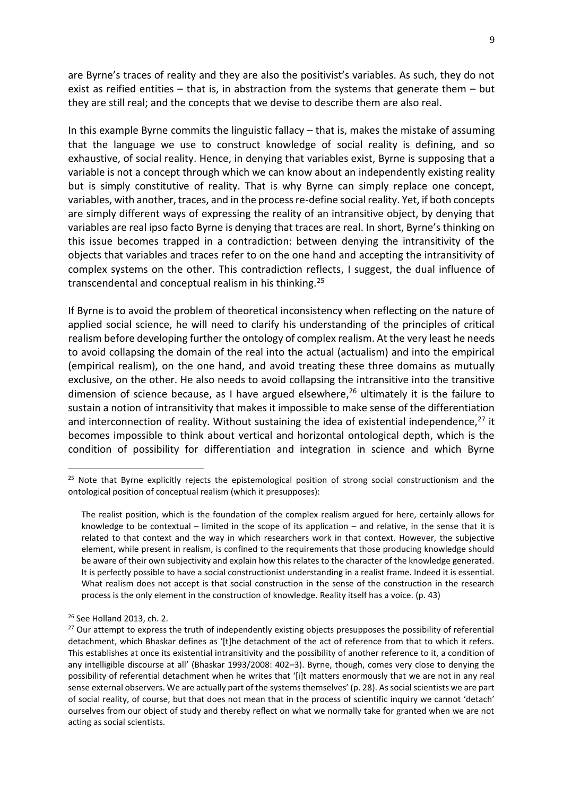are Byrne's traces of reality and they are also the positivist's variables. As such, they do not exist as reified entities – that is, in abstraction from the systems that generate them – but they are still real; and the concepts that we devise to describe them are also real.

In this example Byrne commits the linguistic fallacy – that is, makes the mistake of assuming that the language we use to construct knowledge of social reality is defining, and so exhaustive, of social reality. Hence, in denying that variables exist, Byrne is supposing that a variable is not a concept through which we can know about an independently existing reality but is simply constitutive of reality. That is why Byrne can simply replace one concept, variables, with another, traces, and in the process re-define social reality. Yet, if both concepts are simply different ways of expressing the reality of an intransitive object, by denying that variables are real ipso facto Byrne is denying that traces are real. In short, Byrne's thinking on this issue becomes trapped in a contradiction: between denying the intransitivity of the objects that variables and traces refer to on the one hand and accepting the intransitivity of complex systems on the other. This contradiction reflects, I suggest, the dual influence of transcendental and conceptual realism in his thinking.<sup>25</sup>

If Byrne is to avoid the problem of theoretical inconsistency when reflecting on the nature of applied social science, he will need to clarify his understanding of the principles of critical realism before developing further the ontology of complex realism. At the very least he needs to avoid collapsing the domain of the real into the actual (actualism) and into the empirical (empirical realism), on the one hand, and avoid treating these three domains as mutually exclusive, on the other. He also needs to avoid collapsing the intransitive into the transitive dimension of science because, as I have argued elsewhere,<sup>26</sup> ultimately it is the failure to sustain a notion of intransitivity that makes it impossible to make sense of the differentiation and interconnection of reality. Without sustaining the idea of existential independence, $^{27}$  it becomes impossible to think about vertical and horizontal ontological depth, which is the condition of possibility for differentiation and integration in science and which Byrne

<sup>&</sup>lt;sup>25</sup> Note that Byrne explicitly rejects the epistemological position of strong social constructionism and the ontological position of conceptual realism (which it presupposes):

The realist position, which is the foundation of the complex realism argued for here, certainly allows for knowledge to be contextual – limited in the scope of its application – and relative, in the sense that it is related to that context and the way in which researchers work in that context. However, the subjective element, while present in realism, is confined to the requirements that those producing knowledge should be aware of their own subjectivity and explain how this relates to the character of the knowledge generated. It is perfectly possible to have a social constructionist understanding in a realist frame. Indeed it is essential. What realism does not accept is that social construction in the sense of the construction in the research process is the only element in the construction of knowledge. Reality itself has a voice. (p. 43)

<sup>26</sup> See Holland 2013, ch. 2.

<sup>&</sup>lt;sup>27</sup> Our attempt to express the truth of independently existing objects presupposes the possibility of referential detachment, which Bhaskar defines as '[t]he detachment of the act of reference from that to which it refers. This establishes at once its existential intransitivity and the possibility of another reference to it, a condition of any intelligible discourse at all' (Bhaskar 1993/2008: 402–3). Byrne, though, comes very close to denying the possibility of referential detachment when he writes that '[i]t matters enormously that we are not in any real sense external observers. We are actually part of the systems themselves' (p. 28). As social scientists we are part of social reality, of course, but that does not mean that in the process of scientific inquiry we cannot 'detach' ourselves from our object of study and thereby reflect on what we normally take for granted when we are not acting as social scientists.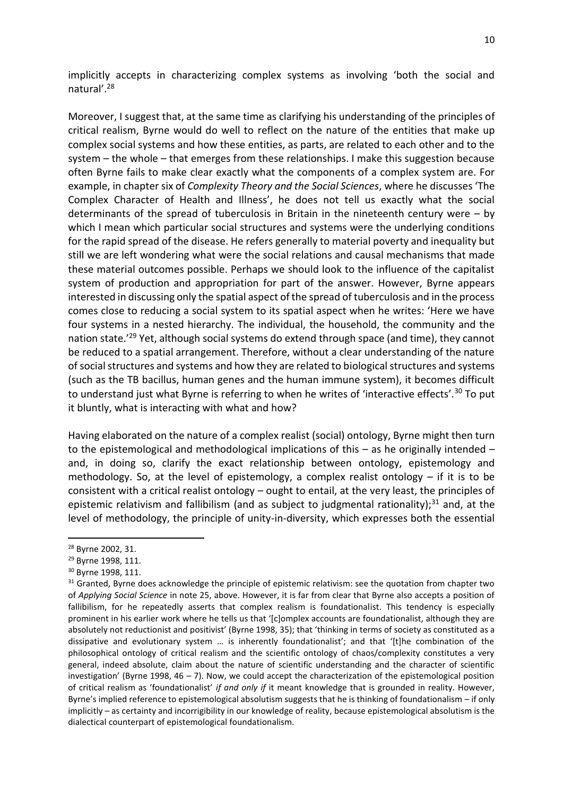implicitly accepts in characterizing complex systems as involving 'both the social and natural'.<sup>28</sup>

Moreover, I suggest that, at the same time as clarifying his understanding of the principles of critical realism, Byrne would do well to reflect on the nature of the entities that make up complex social systems and how these entities, as parts, are related to each other and to the system – the whole – that emerges from these relationships. I make this suggestion because often Byrne fails to make clear exactly what the components of a complex system are. For example, in chapter six of *Complexity Theory and the Social Sciences*, where he discusses 'The Complex Character of Health and Illness', he does not tell us exactly what the social determinants of the spread of tuberculosis in Britain in the nineteenth century were – by which I mean which particular social structures and systems were the underlying conditions for the rapid spread of the disease. He refers generally to material poverty and inequality but still we are left wondering what were the social relations and causal mechanisms that made these material outcomes possible. Perhaps we should look to the influence of the capitalist system of production and appropriation for part of the answer. However, Byrne appears interested in discussing only the spatial aspect of the spread of tuberculosis and in the process comes close to reducing a social system to its spatial aspect when he writes: 'Here we have four systems in a nested hierarchy. The individual, the household, the community and the nation state.'<sup>29</sup> Yet, although social systems do extend through space (and time), they cannot be reduced to a spatial arrangement. Therefore, without a clear understanding of the nature of social structures and systems and how they are related to biological structures and systems (such as the TB bacillus, human genes and the human immune system), it becomes difficult to understand just what Byrne is referring to when he writes of 'interactive effects'.<sup>30</sup> To put it bluntly, what is interacting with what and how?

Having elaborated on the nature of a complex realist (social) ontology, Byrne might then turn to the epistemological and methodological implications of this – as he originally intended – and, in doing so, clarify the exact relationship between ontology, epistemology and methodology. So, at the level of epistemology, a complex realist ontology – if it is to be consistent with a critical realist ontology – ought to entail, at the very least, the principles of epistemic relativism and fallibilism (and as subject to judgmental rationality);<sup>31</sup> and, at the level of methodology, the principle of unity-in-diversity, which expresses both the essential

1

<sup>28</sup> Byrne 2002, 31.

<sup>29</sup> Byrne 1998, 111.

<sup>&</sup>lt;sup>30</sup> Byrne 1998, 111.

<sup>&</sup>lt;sup>31</sup> Granted, Byrne does acknowledge the principle of epistemic relativism: see the quotation from chapter two of *Applying Social Science* in note 25, above. However, it is far from clear that Byrne also accepts a position of fallibilism, for he repeatedly asserts that complex realism is foundationalist. This tendency is especially prominent in his earlier work where he tells us that '[c]omplex accounts are foundationalist, although they are absolutely not reductionist and positivist' (Byrne 1998, 35); that 'thinking in terms of society as constituted as a dissipative and evolutionary system … is inherently foundationalist'; and that '[t]he combination of the philosophical ontology of critical realism and the scientific ontology of chaos/complexity constitutes a very general, indeed absolute, claim about the nature of scientific understanding and the character of scientific investigation' (Byrne 1998,  $46 - 7$ ). Now, we could accept the characterization of the epistemological position of critical realism as 'foundationalist' *if and only if* it meant knowledge that is grounded in reality. However, Byrne's implied reference to epistemological absolutism suggests that he is thinking of foundationalism – if only implicitly – as certainty and incorrigibility in our knowledge of reality, because epistemological absolutism is the dialectical counterpart of epistemological foundationalism.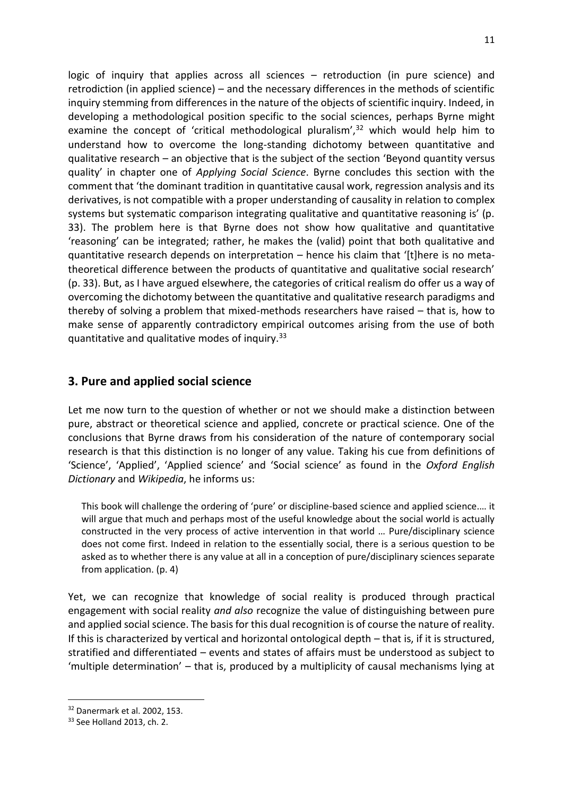logic of inquiry that applies across all sciences – retroduction (in pure science) and retrodiction (in applied science) – and the necessary differences in the methods of scientific inquiry stemming from differences in the nature of the objects of scientific inquiry. Indeed, in developing a methodological position specific to the social sciences, perhaps Byrne might examine the concept of 'critical methodological pluralism', $32$  which would help him to understand how to overcome the long-standing dichotomy between quantitative and qualitative research – an objective that is the subject of the section 'Beyond quantity versus quality' in chapter one of *Applying Social Science*. Byrne concludes this section with the comment that 'the dominant tradition in quantitative causal work, regression analysis and its derivatives, is not compatible with a proper understanding of causality in relation to complex systems but systematic comparison integrating qualitative and quantitative reasoning is' (p. 33). The problem here is that Byrne does not show how qualitative and quantitative 'reasoning' can be integrated; rather, he makes the (valid) point that both qualitative and quantitative research depends on interpretation – hence his claim that '[t]here is no metatheoretical difference between the products of quantitative and qualitative social research' (p. 33). But, as I have argued elsewhere, the categories of critical realism do offer us a way of overcoming the dichotomy between the quantitative and qualitative research paradigms and thereby of solving a problem that mixed-methods researchers have raised – that is, how to make sense of apparently contradictory empirical outcomes arising from the use of both quantitative and qualitative modes of inquiry.<sup>33</sup>

### **3. Pure and applied social science**

Let me now turn to the question of whether or not we should make a distinction between pure, abstract or theoretical science and applied, concrete or practical science. One of the conclusions that Byrne draws from his consideration of the nature of contemporary social research is that this distinction is no longer of any value. Taking his cue from definitions of 'Science', 'Applied', 'Applied science' and 'Social science' as found in the *Oxford English Dictionary* and *Wikipedia*, he informs us:

This book will challenge the ordering of 'pure' or discipline-based science and applied science.… it will argue that much and perhaps most of the useful knowledge about the social world is actually constructed in the very process of active intervention in that world … Pure/disciplinary science does not come first. Indeed in relation to the essentially social, there is a serious question to be asked as to whether there is any value at all in a conception of pure/disciplinary sciences separate from application. (p. 4)

Yet, we can recognize that knowledge of social reality is produced through practical engagement with social reality *and also* recognize the value of distinguishing between pure and applied social science. The basis for this dual recognition is of course the nature of reality. If this is characterized by vertical and horizontal ontological depth – that is, if it is structured, stratified and differentiated – events and states of affairs must be understood as subject to 'multiple determination' – that is, produced by a multiplicity of causal mechanisms lying at

<sup>32</sup> Danermark et al. 2002, 153.

<sup>&</sup>lt;sup>33</sup> See Holland 2013, ch. 2.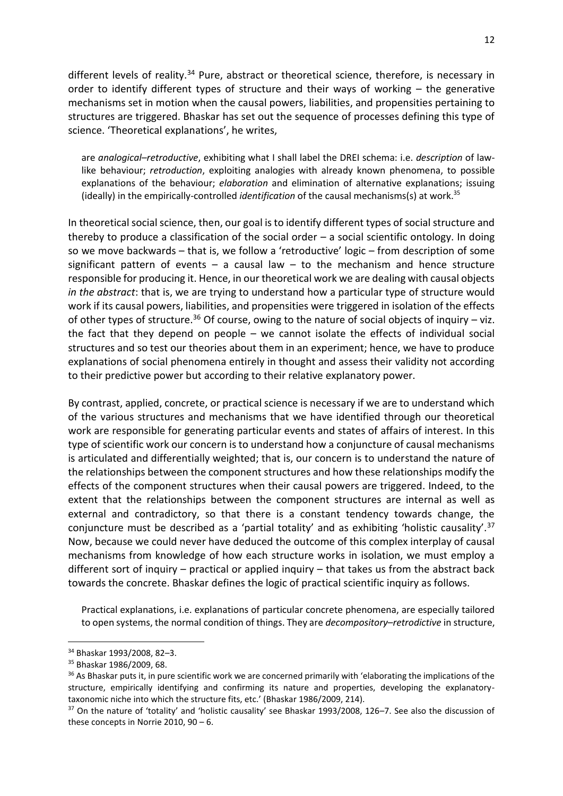different levels of reality.<sup>34</sup> Pure, abstract or theoretical science, therefore, is necessary in order to identify different types of structure and their ways of working – the generative mechanisms set in motion when the causal powers, liabilities, and propensities pertaining to structures are triggered. Bhaskar has set out the sequence of processes defining this type of science. 'Theoretical explanations', he writes,

are *analogical–retroductive*, exhibiting what I shall label the DREI schema: i.e. *description* of lawlike behaviour; *retroduction*, exploiting analogies with already known phenomena, to possible explanations of the behaviour; *elaboration* and elimination of alternative explanations; issuing (ideally) in the empirically-controlled *identification* of the causal mechanisms(s) at work.<sup>35</sup>

In theoretical social science, then, our goal is to identify different types of social structure and thereby to produce a classification of the social order – a social scientific ontology. In doing so we move backwards – that is, we follow a 'retroductive' logic – from description of some significant pattern of events  $-$  a causal law  $-$  to the mechanism and hence structure responsible for producing it. Hence, in our theoretical work we are dealing with causal objects *in the abstract*: that is, we are trying to understand how a particular type of structure would work if its causal powers, liabilities, and propensities were triggered in isolation of the effects of other types of structure.<sup>36</sup> Of course, owing to the nature of social objects of inquiry – viz. the fact that they depend on people – we cannot isolate the effects of individual social structures and so test our theories about them in an experiment; hence, we have to produce explanations of social phenomena entirely in thought and assess their validity not according to their predictive power but according to their relative explanatory power.

By contrast, applied, concrete, or practical science is necessary if we are to understand which of the various structures and mechanisms that we have identified through our theoretical work are responsible for generating particular events and states of affairs of interest. In this type of scientific work our concern is to understand how a conjuncture of causal mechanisms is articulated and differentially weighted; that is, our concern is to understand the nature of the relationships between the component structures and how these relationships modify the effects of the component structures when their causal powers are triggered. Indeed, to the extent that the relationships between the component structures are internal as well as external and contradictory, so that there is a constant tendency towards change, the conjuncture must be described as a 'partial totality' and as exhibiting 'holistic causality'.<sup>37</sup> Now, because we could never have deduced the outcome of this complex interplay of causal mechanisms from knowledge of how each structure works in isolation, we must employ a different sort of inquiry – practical or applied inquiry – that takes us from the abstract back towards the concrete. Bhaskar defines the logic of practical scientific inquiry as follows.

Practical explanations, i.e. explanations of particular concrete phenomena, are especially tailored to open systems, the normal condition of things. They are *decompository–retrodictive* in structure,

 $\overline{\phantom{a}}$ 

<sup>34</sup> Bhaskar 1993/2008, 82–3.

<sup>35</sup> Bhaskar 1986/2009, 68.

 $36$  As Bhaskar puts it, in pure scientific work we are concerned primarily with 'elaborating the implications of the structure, empirically identifying and confirming its nature and properties, developing the explanatorytaxonomic niche into which the structure fits, etc.' (Bhaskar 1986/2009, 214).

<sup>37</sup> On the nature of 'totality' and 'holistic causality' see Bhaskar 1993/2008, 126–7. See also the discussion of these concepts in Norrie 2010, 90 – 6.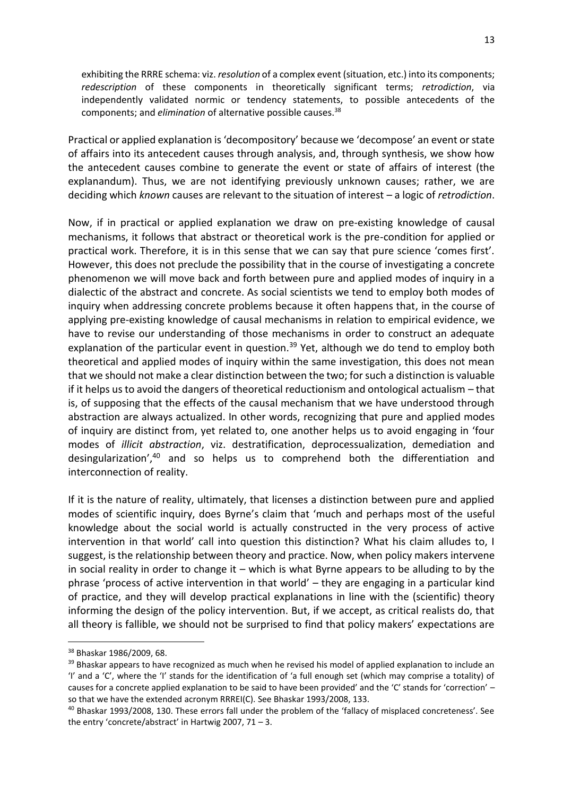exhibiting the RRRE schema: viz. *resolution* of a complex event (situation, etc.) into its components; *redescription* of these components in theoretically significant terms; *retrodiction*, via independently validated normic or tendency statements, to possible antecedents of the components; and *elimination* of alternative possible causes.<sup>38</sup>

Practical or applied explanation is 'decompository' because we 'decompose' an event or state of affairs into its antecedent causes through analysis, and, through synthesis, we show how the antecedent causes combine to generate the event or state of affairs of interest (the explanandum). Thus, we are not identifying previously unknown causes; rather, we are deciding which *known* causes are relevant to the situation of interest – a logic of *retrodiction*.

Now, if in practical or applied explanation we draw on pre-existing knowledge of causal mechanisms, it follows that abstract or theoretical work is the pre-condition for applied or practical work. Therefore, it is in this sense that we can say that pure science 'comes first'. However, this does not preclude the possibility that in the course of investigating a concrete phenomenon we will move back and forth between pure and applied modes of inquiry in a dialectic of the abstract and concrete. As social scientists we tend to employ both modes of inquiry when addressing concrete problems because it often happens that, in the course of applying pre-existing knowledge of causal mechanisms in relation to empirical evidence, we have to revise our understanding of those mechanisms in order to construct an adequate explanation of the particular event in question.<sup>39</sup> Yet, although we do tend to employ both theoretical and applied modes of inquiry within the same investigation, this does not mean that we should not make a clear distinction between the two; for such a distinction is valuable if it helps us to avoid the dangers of theoretical reductionism and ontological actualism – that is, of supposing that the effects of the causal mechanism that we have understood through abstraction are always actualized. In other words, recognizing that pure and applied modes of inquiry are distinct from, yet related to, one another helps us to avoid engaging in 'four modes of *illicit abstraction*, viz. destratification, deprocessualization, demediation and desingularization',<sup>40</sup> and so helps us to comprehend both the differentiation and interconnection of reality.

If it is the nature of reality, ultimately, that licenses a distinction between pure and applied modes of scientific inquiry, does Byrne's claim that 'much and perhaps most of the useful knowledge about the social world is actually constructed in the very process of active intervention in that world' call into question this distinction? What his claim alludes to, I suggest, is the relationship between theory and practice. Now, when policy makers intervene in social reality in order to change it – which is what Byrne appears to be alluding to by the phrase 'process of active intervention in that world' – they are engaging in a particular kind of practice, and they will develop practical explanations in line with the (scientific) theory informing the design of the policy intervention. But, if we accept, as critical realists do, that all theory is fallible, we should not be surprised to find that policy makers' expectations are

 $\overline{\phantom{a}}$ 

<sup>38</sup> Bhaskar 1986/2009, 68.

<sup>&</sup>lt;sup>39</sup> Bhaskar appears to have recognized as much when he revised his model of applied explanation to include an 'I' and a 'C', where the 'I' stands for the identification of 'a full enough set (which may comprise a totality) of causes for a concrete applied explanation to be said to have been provided' and the 'C' stands for 'correction' – so that we have the extended acronym RRREI(C). See Bhaskar 1993/2008, 133.

<sup>40</sup> Bhaskar 1993/2008, 130. These errors fall under the problem of the 'fallacy of misplaced concreteness'. See the entry 'concrete/abstract' in Hartwig 2007, 71 – 3.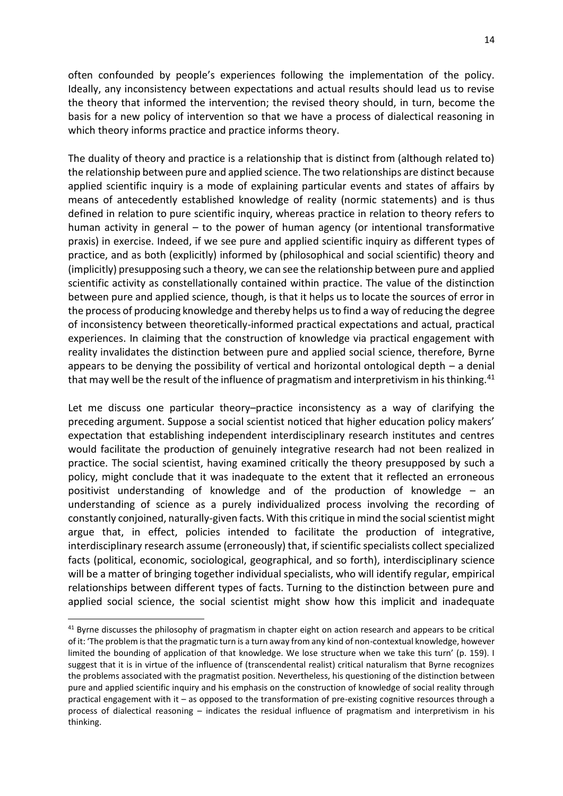often confounded by people's experiences following the implementation of the policy. Ideally, any inconsistency between expectations and actual results should lead us to revise the theory that informed the intervention; the revised theory should, in turn, become the basis for a new policy of intervention so that we have a process of dialectical reasoning in which theory informs practice and practice informs theory.

The duality of theory and practice is a relationship that is distinct from (although related to) the relationship between pure and applied science. The two relationships are distinct because applied scientific inquiry is a mode of explaining particular events and states of affairs by means of antecedently established knowledge of reality (normic statements) and is thus defined in relation to pure scientific inquiry, whereas practice in relation to theory refers to human activity in general – to the power of human agency (or intentional transformative praxis) in exercise. Indeed, if we see pure and applied scientific inquiry as different types of practice, and as both (explicitly) informed by (philosophical and social scientific) theory and (implicitly) presupposing such a theory, we can see the relationship between pure and applied scientific activity as constellationally contained within practice. The value of the distinction between pure and applied science, though, is that it helps us to locate the sources of error in the process of producing knowledge and thereby helps us to find a way of reducing the degree of inconsistency between theoretically-informed practical expectations and actual, practical experiences. In claiming that the construction of knowledge via practical engagement with reality invalidates the distinction between pure and applied social science, therefore, Byrne appears to be denying the possibility of vertical and horizontal ontological depth – a denial that may well be the result of the influence of pragmatism and interpretivism in his thinking.<sup>41</sup>

Let me discuss one particular theory–practice inconsistency as a way of clarifying the preceding argument. Suppose a social scientist noticed that higher education policy makers' expectation that establishing independent interdisciplinary research institutes and centres would facilitate the production of genuinely integrative research had not been realized in practice. The social scientist, having examined critically the theory presupposed by such a policy, might conclude that it was inadequate to the extent that it reflected an erroneous positivist understanding of knowledge and of the production of knowledge – an understanding of science as a purely individualized process involving the recording of constantly conjoined, naturally-given facts. With this critique in mind the social scientist might argue that, in effect, policies intended to facilitate the production of integrative, interdisciplinary research assume (erroneously) that, if scientific specialists collect specialized facts (political, economic, sociological, geographical, and so forth), interdisciplinary science will be a matter of bringing together individual specialists, who will identify regular, empirical relationships between different types of facts. Turning to the distinction between pure and applied social science, the social scientist might show how this implicit and inadequate

<sup>&</sup>lt;sup>41</sup> Byrne discusses the philosophy of pragmatism in chapter eight on action research and appears to be critical of it: 'The problem is that the pragmatic turn is a turn away from any kind of non-contextual knowledge, however limited the bounding of application of that knowledge. We lose structure when we take this turn' (p. 159). I suggest that it is in virtue of the influence of (transcendental realist) critical naturalism that Byrne recognizes the problems associated with the pragmatist position. Nevertheless, his questioning of the distinction between pure and applied scientific inquiry and his emphasis on the construction of knowledge of social reality through practical engagement with it – as opposed to the transformation of pre-existing cognitive resources through a process of dialectical reasoning – indicates the residual influence of pragmatism and interpretivism in his thinking.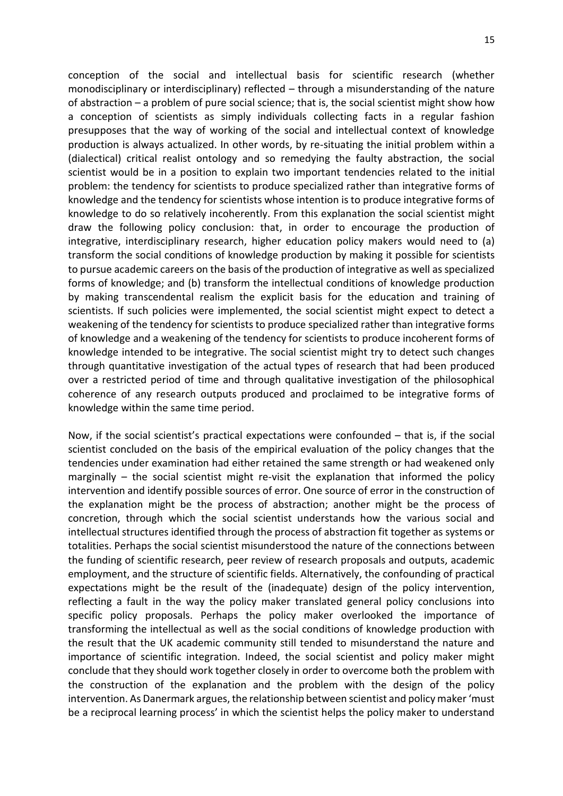conception of the social and intellectual basis for scientific research (whether monodisciplinary or interdisciplinary) reflected – through a misunderstanding of the nature of abstraction – a problem of pure social science; that is, the social scientist might show how a conception of scientists as simply individuals collecting facts in a regular fashion presupposes that the way of working of the social and intellectual context of knowledge production is always actualized. In other words, by re-situating the initial problem within a (dialectical) critical realist ontology and so remedying the faulty abstraction, the social scientist would be in a position to explain two important tendencies related to the initial problem: the tendency for scientists to produce specialized rather than integrative forms of knowledge and the tendency for scientists whose intention is to produce integrative forms of knowledge to do so relatively incoherently. From this explanation the social scientist might draw the following policy conclusion: that, in order to encourage the production of integrative, interdisciplinary research, higher education policy makers would need to (a) transform the social conditions of knowledge production by making it possible for scientists to pursue academic careers on the basis of the production of integrative as well as specialized forms of knowledge; and (b) transform the intellectual conditions of knowledge production by making transcendental realism the explicit basis for the education and training of scientists. If such policies were implemented, the social scientist might expect to detect a weakening of the tendency for scientists to produce specialized rather than integrative forms of knowledge and a weakening of the tendency for scientists to produce incoherent forms of knowledge intended to be integrative. The social scientist might try to detect such changes through quantitative investigation of the actual types of research that had been produced over a restricted period of time and through qualitative investigation of the philosophical coherence of any research outputs produced and proclaimed to be integrative forms of knowledge within the same time period.

Now, if the social scientist's practical expectations were confounded – that is, if the social scientist concluded on the basis of the empirical evaluation of the policy changes that the tendencies under examination had either retained the same strength or had weakened only marginally – the social scientist might re-visit the explanation that informed the policy intervention and identify possible sources of error. One source of error in the construction of the explanation might be the process of abstraction; another might be the process of concretion, through which the social scientist understands how the various social and intellectual structures identified through the process of abstraction fit together as systems or totalities. Perhaps the social scientist misunderstood the nature of the connections between the funding of scientific research, peer review of research proposals and outputs, academic employment, and the structure of scientific fields. Alternatively, the confounding of practical expectations might be the result of the (inadequate) design of the policy intervention, reflecting a fault in the way the policy maker translated general policy conclusions into specific policy proposals. Perhaps the policy maker overlooked the importance of transforming the intellectual as well as the social conditions of knowledge production with the result that the UK academic community still tended to misunderstand the nature and importance of scientific integration. Indeed, the social scientist and policy maker might conclude that they should work together closely in order to overcome both the problem with the construction of the explanation and the problem with the design of the policy intervention. As Danermark argues, the relationship between scientist and policy maker 'must be a reciprocal learning process' in which the scientist helps the policy maker to understand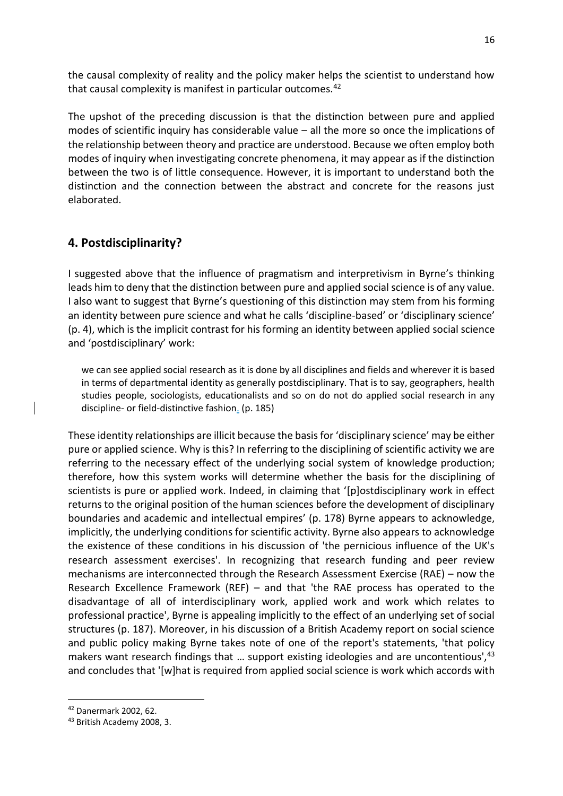the causal complexity of reality and the policy maker helps the scientist to understand how that causal complexity is manifest in particular outcomes.<sup>42</sup>

The upshot of the preceding discussion is that the distinction between pure and applied modes of scientific inquiry has considerable value – all the more so once the implications of the relationship between theory and practice are understood. Because we often employ both modes of inquiry when investigating concrete phenomena, it may appear as if the distinction between the two is of little consequence. However, it is important to understand both the distinction and the connection between the abstract and concrete for the reasons just elaborated.

## **4. Postdisciplinarity?**

I suggested above that the influence of pragmatism and interpretivism in Byrne's thinking leads him to deny that the distinction between pure and applied social science is of any value. I also want to suggest that Byrne's questioning of this distinction may stem from his forming an identity between pure science and what he calls 'discipline-based' or 'disciplinary science' (p. 4), which is the implicit contrast for his forming an identity between applied social science and 'postdisciplinary' work:

we can see applied social research as it is done by all disciplines and fields and wherever it is based in terms of departmental identity as generally postdisciplinary. That is to say, geographers, health studies people, sociologists, educationalists and so on do not do applied social research in any discipline- or field-distinctive fashion. (p. 185)

These identity relationships are illicit because the basis for 'disciplinary science' may be either pure or applied science. Why is this? In referring to the disciplining of scientific activity we are referring to the necessary effect of the underlying social system of knowledge production; therefore, how this system works will determine whether the basis for the disciplining of scientists is pure or applied work. Indeed, in claiming that '[p]ostdisciplinary work in effect returns to the original position of the human sciences before the development of disciplinary boundaries and academic and intellectual empires' (p. 178) Byrne appears to acknowledge, implicitly, the underlying conditions for scientific activity. Byrne also appears to acknowledge the existence of these conditions in his discussion of 'the pernicious influence of the UK's research assessment exercises'. In recognizing that research funding and peer review mechanisms are interconnected through the Research Assessment Exercise (RAE) – now the Research Excellence Framework (REF) – and that 'the RAE process has operated to the disadvantage of all of interdisciplinary work, applied work and work which relates to professional practice', Byrne is appealing implicitly to the effect of an underlying set of social structures (p. 187). Moreover, in his discussion of a British Academy report on social science and public policy making Byrne takes note of one of the report's statements, 'that policy makers want research findings that ... support existing ideologies and are uncontentious', $^{43}$ and concludes that '[w]hat is required from applied social science is work which accords with

<sup>42</sup> Danermark 2002, 62.

<sup>43</sup> British Academy 2008, 3.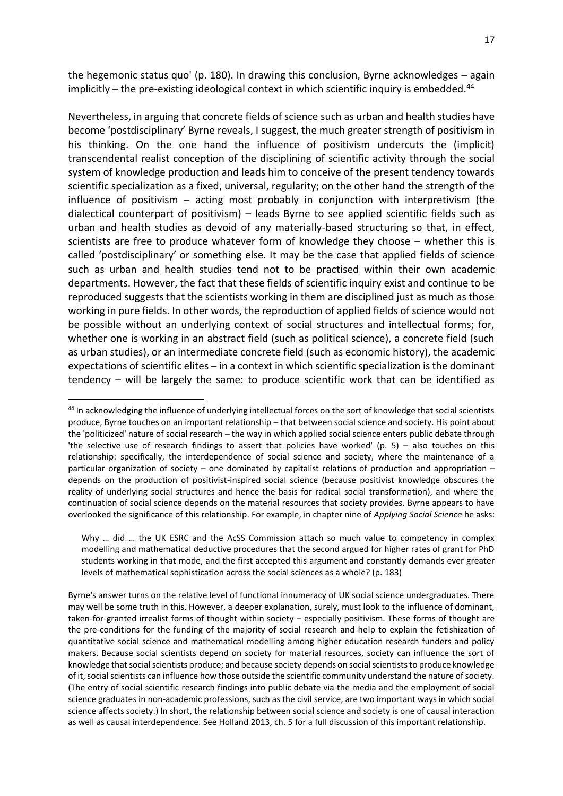the hegemonic status quo' (p. 180). In drawing this conclusion, Byrne acknowledges – again implicitly – the pre-existing ideological context in which scientific inquiry is embedded.<sup>44</sup>

Nevertheless, in arguing that concrete fields of science such as urban and health studies have become 'postdisciplinary' Byrne reveals, I suggest, the much greater strength of positivism in his thinking. On the one hand the influence of positivism undercuts the (implicit) transcendental realist conception of the disciplining of scientific activity through the social system of knowledge production and leads him to conceive of the present tendency towards scientific specialization as a fixed, universal, regularity; on the other hand the strength of the influence of positivism – acting most probably in conjunction with interpretivism (the dialectical counterpart of positivism) – leads Byrne to see applied scientific fields such as urban and health studies as devoid of any materially-based structuring so that, in effect, scientists are free to produce whatever form of knowledge they choose – whether this is called 'postdisciplinary' or something else. It may be the case that applied fields of science such as urban and health studies tend not to be practised within their own academic departments. However, the fact that these fields of scientific inquiry exist and continue to be reproduced suggests that the scientists working in them are disciplined just as much as those working in pure fields. In other words, the reproduction of applied fields of science would not be possible without an underlying context of social structures and intellectual forms; for, whether one is working in an abstract field (such as political science), a concrete field (such as urban studies), or an intermediate concrete field (such as economic history), the academic expectations of scientific elites – in a context in which scientific specialization is the dominant tendency – will be largely the same: to produce scientific work that can be identified as

<sup>44</sup> In acknowledging the influence of underlying intellectual forces on the sort of knowledge that social scientists produce, Byrne touches on an important relationship – that between social science and society. His point about the 'politicized' nature of social research – the way in which applied social science enters public debate through 'the selective use of research findings to assert that policies have worked' (p. 5) – also touches on this relationship: specifically, the interdependence of social science and society, where the maintenance of a particular organization of society – one dominated by capitalist relations of production and appropriation – depends on the production of positivist-inspired social science (because positivist knowledge obscures the reality of underlying social structures and hence the basis for radical social transformation), and where the continuation of social science depends on the material resources that society provides. Byrne appears to have overlooked the significance of this relationship. For example, in chapter nine of *Applying Social Science* he asks:

Why ... did ... the UK ESRC and the AcSS Commission attach so much value to competency in complex modelling and mathematical deductive procedures that the second argued for higher rates of grant for PhD students working in that mode, and the first accepted this argument and constantly demands ever greater levels of mathematical sophistication across the social sciences as a whole? (p. 183)

Byrne's answer turns on the relative level of functional innumeracy of UK social science undergraduates. There may well be some truth in this. However, a deeper explanation, surely, must look to the influence of dominant, taken-for-granted irrealist forms of thought within society – especially positivism. These forms of thought are the pre-conditions for the funding of the majority of social research and help to explain the fetishization of quantitative social science and mathematical modelling among higher education research funders and policy makers. Because social scientists depend on society for material resources, society can influence the sort of knowledge that social scientists produce; and because society depends on social scientists to produce knowledge of it, social scientists can influence how those outside the scientific community understand the nature of society. (The entry of social scientific research findings into public debate via the media and the employment of social science graduates in non-academic professions, such as the civil service, are two important ways in which social science affects society.) In short, the relationship between social science and society is one of causal interaction as well as causal interdependence. See Holland 2013, ch. 5 for a full discussion of this important relationship.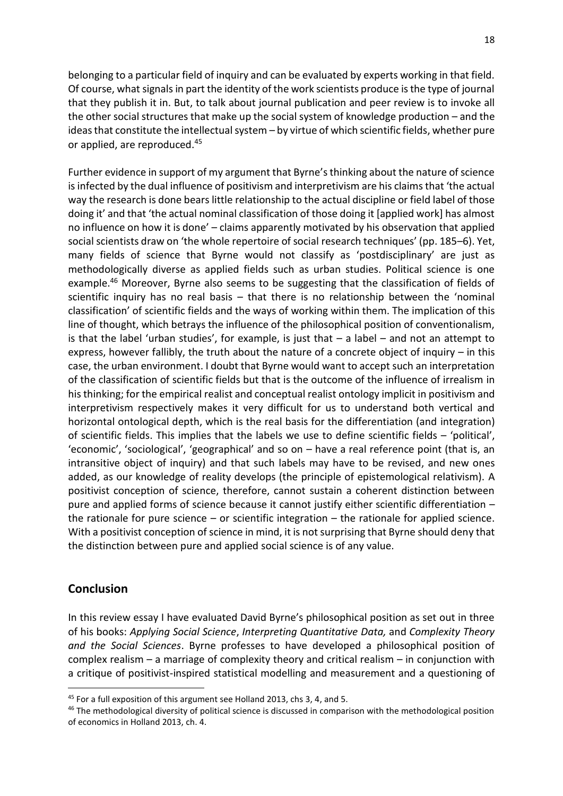belonging to a particular field of inquiry and can be evaluated by experts working in that field. Of course, what signals in part the identity of the work scientists produce is the type of journal that they publish it in. But, to talk about journal publication and peer review is to invoke all the other social structures that make up the social system of knowledge production – and the ideas that constitute the intellectual system – by virtue of which scientific fields, whether pure or applied, are reproduced.<sup>45</sup>

Further evidence in support of my argument that Byrne's thinking about the nature of science is infected by the dual influence of positivism and interpretivism are his claims that 'the actual way the research is done bears little relationship to the actual discipline or field label of those doing it' and that 'the actual nominal classification of those doing it [applied work] has almost no influence on how it is done' – claims apparently motivated by his observation that applied social scientists draw on 'the whole repertoire of social research techniques' (pp. 185–6). Yet, many fields of science that Byrne would not classify as 'postdisciplinary' are just as methodologically diverse as applied fields such as urban studies. Political science is one example.<sup>46</sup> Moreover, Byrne also seems to be suggesting that the classification of fields of scientific inquiry has no real basis – that there is no relationship between the 'nominal classification' of scientific fields and the ways of working within them. The implication of this line of thought, which betrays the influence of the philosophical position of conventionalism, is that the label 'urban studies', for example, is just that  $-$  a label  $-$  and not an attempt to express, however fallibly, the truth about the nature of a concrete object of inquiry – in this case, the urban environment. I doubt that Byrne would want to accept such an interpretation of the classification of scientific fields but that is the outcome of the influence of irrealism in his thinking; for the empirical realist and conceptual realist ontology implicit in positivism and interpretivism respectively makes it very difficult for us to understand both vertical and horizontal ontological depth, which is the real basis for the differentiation (and integration) of scientific fields. This implies that the labels we use to define scientific fields – 'political', 'economic', 'sociological', 'geographical' and so on – have a real reference point (that is, an intransitive object of inquiry) and that such labels may have to be revised, and new ones added, as our knowledge of reality develops (the principle of epistemological relativism). A positivist conception of science, therefore, cannot sustain a coherent distinction between pure and applied forms of science because it cannot justify either scientific differentiation – the rationale for pure science – or scientific integration – the rationale for applied science. With a positivist conception of science in mind, it is not surprising that Byrne should deny that the distinction between pure and applied social science is of any value.

### **Conclusion**

**.** 

In this review essay I have evaluated David Byrne's philosophical position as set out in three of his books: *Applying Social Science*, *Interpreting Quantitative Data,* and *Complexity Theory and the Social Sciences*. Byrne professes to have developed a philosophical position of complex realism – a marriage of complexity theory and critical realism – in conjunction with a critique of positivist-inspired statistical modelling and measurement and a questioning of

<sup>45</sup> For a full exposition of this argument see Holland 2013, chs 3, 4, and 5.

<sup>&</sup>lt;sup>46</sup> The methodological diversity of political science is discussed in comparison with the methodological position of economics in Holland 2013, ch. 4.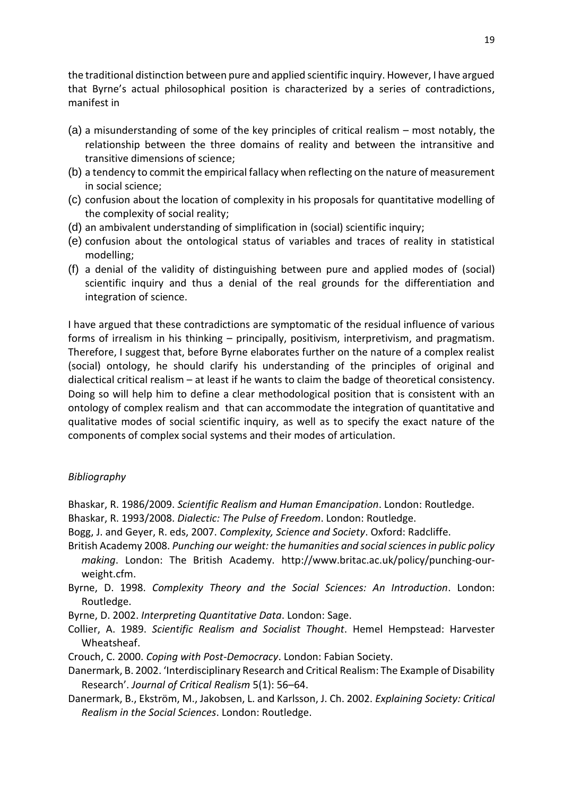the traditional distinction between pure and applied scientific inquiry. However, I have argued that Byrne's actual philosophical position is characterized by a series of contradictions, manifest in

- (a) a misunderstanding of some of the key principles of critical realism most notably, the relationship between the three domains of reality and between the intransitive and transitive dimensions of science;
- (b) a tendency to commit the empirical fallacy when reflecting on the nature of measurement in social science;
- (c) confusion about the location of complexity in his proposals for quantitative modelling of the complexity of social reality;
- (d) an ambivalent understanding of simplification in (social) scientific inquiry;
- (e) confusion about the ontological status of variables and traces of reality in statistical modelling;
- (f) a denial of the validity of distinguishing between pure and applied modes of (social) scientific inquiry and thus a denial of the real grounds for the differentiation and integration of science.

I have argued that these contradictions are symptomatic of the residual influence of various forms of irrealism in his thinking – principally, positivism, interpretivism, and pragmatism. Therefore, I suggest that, before Byrne elaborates further on the nature of a complex realist (social) ontology, he should clarify his understanding of the principles of original and dialectical critical realism – at least if he wants to claim the badge of theoretical consistency. Doing so will help him to define a clear methodological position that is consistent with an ontology of complex realism and that can accommodate the integration of quantitative and qualitative modes of social scientific inquiry, as well as to specify the exact nature of the components of complex social systems and their modes of articulation.

#### *Bibliography*

- Bhaskar, R. 1986/2009. *Scientific Realism and Human Emancipation*. London: Routledge.
- Bhaskar, R. 1993/2008. *Dialectic: The Pulse of Freedom*. London: Routledge.
- Bogg, J. and Geyer, R. eds, 2007. *Complexity, Science and Society*. Oxford: Radcliffe.
- British Academy 2008. *Punching our weight: the humanities and social sciences in public policy making*. London: The British Academy. http://www.britac.ac.uk/policy/punching-ourweight.cfm.
- Byrne, D. 1998. *Complexity Theory and the Social Sciences: An Introduction*. London: Routledge.
- Byrne, D. 2002. *Interpreting Quantitative Data*. London: Sage.
- Collier, A. 1989. *Scientific Realism and Socialist Thought*. Hemel Hempstead: Harvester Wheatsheaf.
- Crouch, C. 2000. *Coping with Post-Democracy*. London: Fabian Society.
- Danermark, B. 2002. 'Interdisciplinary Research and Critical Realism: The Example of Disability Research'. *Journal of Critical Realism* 5(1): 56–64.
- Danermark, B., Ekström, M., Jakobsen, L. and Karlsson, J. Ch. 2002. *Explaining Society: Critical Realism in the Social Sciences*. London: Routledge.